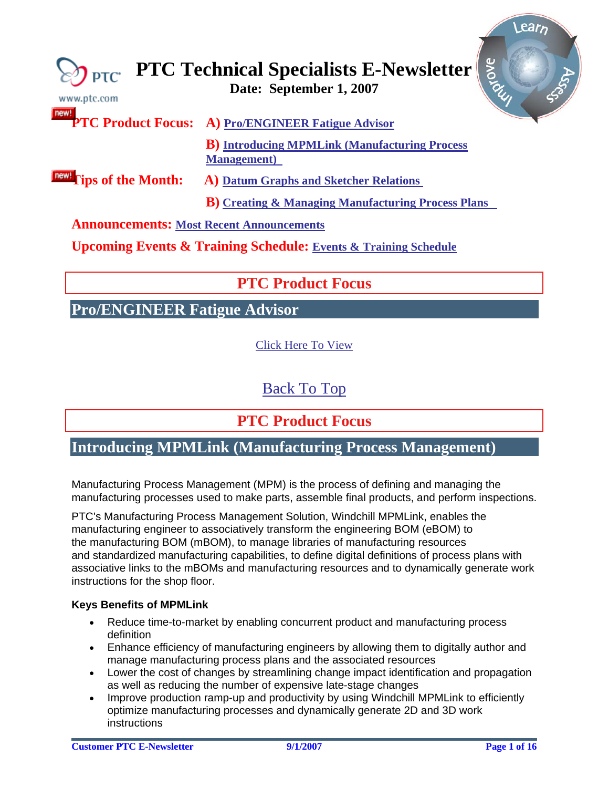<span id="page-0-0"></span>

| www.ptc.com                                     | <b>SIONE</b><br>$\bigotimes_{\mathsf{PTC}}$ PTC Technical Specialists E-Newsletter |
|-------------------------------------------------|------------------------------------------------------------------------------------|
| new!                                            | <b>PTC Product Focus:</b> A) Pro/ENGINEER Fatigue Advisor                          |
|                                                 | <b>B</b> ) Introducing MPMLink (Manufacturing Process<br><b>Management</b> )       |
| <b>Inew!</b> Tips of the Month:                 | <b>A) Datum Graphs and Sketcher Relations</b>                                      |
|                                                 | <b>B</b> ) Creating & Managing Manufacturing Process Plans                         |
| <b>Announcements: Most Recent Announcements</b> |                                                                                    |

**Upcoming Events & Training Schedule: [Events & Training Schedule](#page-14-0)**

## **PTC Product Focus**

## **Pro/ENGINEER Fatigue Advisor**

[Click Here To View](http://members.shaw.ca/jpeng/newsletter/PTC_Technical_Specialists_E-Newsletter_09-01-2007_desktop.pdf)

[Back To Top](#page-0-0)

## **PTC Product Focus**

### **Introducing MPMLink (Manufacturing Process Management)**

Manufacturing Process Management (MPM) is the process of defining and managing the manufacturing processes used to make parts, assemble final products, and perform inspections.

PTC's Manufacturing Process Management Solution, Windchill MPMLink, enables the manufacturing engineer to associatively transform the engineering BOM (eBOM) to the manufacturing BOM (mBOM), to manage libraries of manufacturing resources and standardized manufacturing capabilities, to define digital definitions of process plans with associative links to the mBOMs and manufacturing resources and to dynamically generate work instructions for the shop floor.

### **Keys Benefits of MPMLink**

- Reduce time-to-market by enabling concurrent product and manufacturing process definition
- Enhance efficiency of manufacturing engineers by allowing them to digitally author and manage manufacturing process plans and the associated resources
- Lower the cost of changes by streamlining change impact identification and propagation as well as reducing the number of expensive late-stage changes
- Improve production ramp-up and productivity by using Windchill MPMLink to efficiently optimize manufacturing processes and dynamically generate 2D and 3D work instructions

lear<sub>b</sub>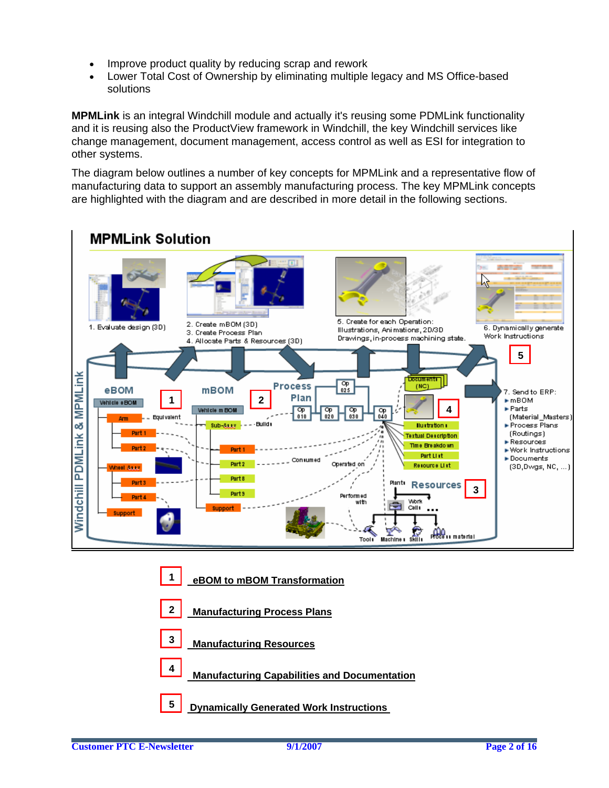- Improve product quality by reducing scrap and rework
- Lower Total Cost of Ownership by eliminating multiple legacy and MS Office-based solutions

**MPMLink** is an integral Windchill module and actually it's reusing some PDMLink functionality and it is reusing also the ProductView framework in Windchill, the key Windchill services like change management, document management, access control as well as ESI for integration to other systems.

The diagram below outlines a number of key concepts for MPMLink and a representative flow of manufacturing data to support an assembly manufacturing process. The key MPMLink concepts are highlighted with the diagram and are described in more detail in the following sections.



- **1 eBOM to mBOM Transformation**
- **2 Manufacturing Process Plans**
- **Manufacturing Resources 3**
- **Manufacturing Capabilities and Documentation <sup>4</sup>**
- **5** Dynamically Generated Work Instructions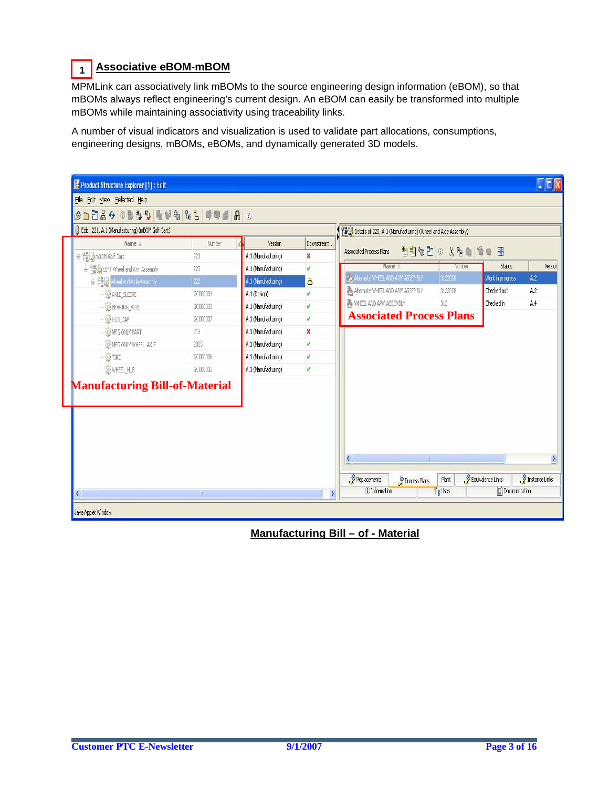#### **Associative eBOM-mBOM 1**

MPMLink can associatively link mBOMs to the source engineering design information (eBOM), so that mBOMs always reflect engineering's current design. An eBOM can easily be transformed into multiple mBOMs while maintaining associativity using traceability links.

A number of visual indicators and visualization is used to validate part allocations, consumptions, engineering designs, mBOMs, eBOMs, and dynamically generated 3D models.



### **Manufacturing Bill – of - Material**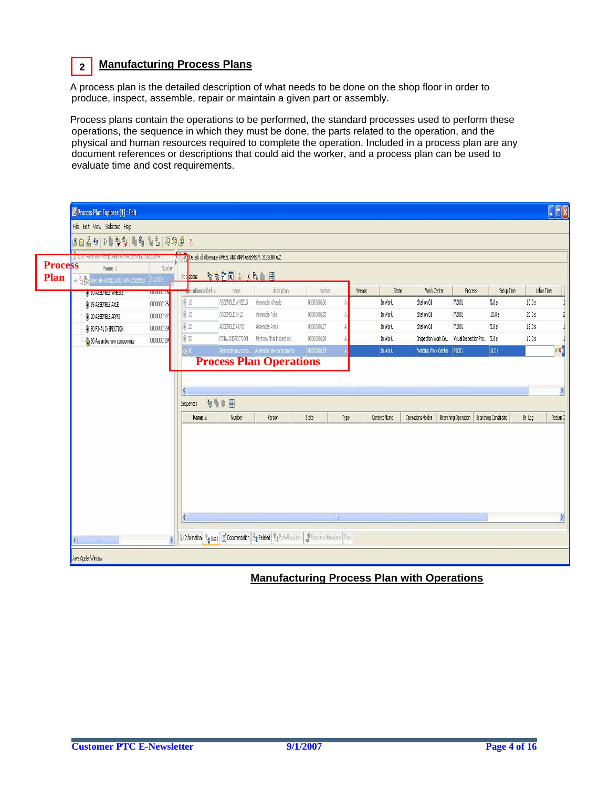### **2 Manufacturing Process Plans**

A process plan is the detailed description of what needs to be done on the shop floor in order to produce, inspect, assemble, repair or maintain a given part or assembly.

Process plans contain the operations to be performed, the standard processes used to perform these operations, the sequence in which they must be done, the parts related to the operation, and the physical and human resources required to complete the operation. Included in a process plan are any document references or descriptions that could aid the worker, and a process plan can be used to evaluate time and cost requirements.

|                | Process Plan Explorer [1] : Edit<br>File Edit View Selected Help |                          |                                                                |                  |                                                                                                                                                                                                                                        |            |         |              |                     |                                            |            | $\Box$ e $\times$ |
|----------------|------------------------------------------------------------------|--------------------------|----------------------------------------------------------------|------------------|----------------------------------------------------------------------------------------------------------------------------------------------------------------------------------------------------------------------------------------|------------|---------|--------------|---------------------|--------------------------------------------|------------|-------------------|
|                | <u> 승규들 4 0 월 4 일 역 1 월 4 일 4 2 0 월 2</u>                        |                          |                                                                |                  |                                                                                                                                                                                                                                        |            |         |              |                     |                                            |            |                   |
|                | W EOR : Alternate WHEEL AND ARM Abbember, 3122006 A.Z.           |                          | Fight Details of Alternate WHEEL AND ARM ASSEMBLY, 3122008 A.2 |                  |                                                                                                                                                                                                                                        |            |         |              |                     |                                            |            |                   |
| <b>Process</b> | Name á                                                           | Number                   |                                                                |                  |                                                                                                                                                                                                                                        |            |         |              |                     |                                            |            |                   |
| Plan           | E- Low Aternate WHEEL AND ARM ASSEMBLY 3122008                   |                          | Ope ations                                                     | <b>OBDROXBAH</b> |                                                                                                                                                                                                                                        |            |         |              |                     |                                            |            |                   |
|                | O 10 ASSEMBLE WHEELS                                             | 000000126                | Operation Label A                                              | name             | description                                                                                                                                                                                                                            | number     | Version | State        | Work Center         | <b>Process</b>                             | Setup Time | Labor Time        |
|                | 4 15 ASSEMBLE AXLE                                               | 0000000125               | \$10                                                           | ASSEMBLE WHEELS  | Assemble Wheels                                                                                                                                                                                                                        | 0000000126 |         | In Work      | Station 01          | M2001                                      | 5.0 s      | 10.0 s            |
|                | 20 ASSEMBLE ARMS                                                 | 0000000127               | ₿ 15                                                           | ASSEMBLE AXLE    | Assemble Axle                                                                                                                                                                                                                          | 0000000125 |         | In Work      | Station 01          | M2001                                      | 10.0 s     | 20.0 s            |
|                | <b>50 FINAL INSPECTION</b>                                       | 0000000128               | 4 20                                                           | ASSEMBLE ARMS    | Assemble Arms                                                                                                                                                                                                                          | 0000000127 |         | In Work      | Station 01          | M2001                                      | 5.0 s      | 12.0 s            |
|                | 80 Assemble new components                                       | 0000000129               | 450                                                            | FINAL INSPECTION | Perform Final inspection                                                                                                                                                                                                               | 0000000128 |         | In Work      | Inspection Work Ce  | Visual Inspection Pro 5.0 s                |            | 13.0 s            |
|                |                                                                  |                          | 60                                                             |                  | Assemble new comp Assemble new components                                                                                                                                                                                              | 0000000129 |         | In Work      | Welding Work Center | P1001                                      | 10.05      |                   |
|                |                                                                  |                          |                                                                |                  | <b>Process Plan Operations</b>                                                                                                                                                                                                         |            |         |              |                     |                                            |            |                   |
|                |                                                                  |                          | <b>Sequences</b>                                               | 990 田            |                                                                                                                                                                                                                                        |            |         |              |                     |                                            |            |                   |
|                |                                                                  |                          | Name ±                                                         | Number           | Version                                                                                                                                                                                                                                | State      | Type    | Context Name | Operations Holder   | Branching Operation   Branching Constraint |            | Br. Lag           |
|                |                                                                  |                          |                                                                |                  |                                                                                                                                                                                                                                        |            |         |              |                     |                                            |            |                   |
|                |                                                                  |                          |                                                                |                  |                                                                                                                                                                                                                                        |            |         |              |                     |                                            |            |                   |
|                |                                                                  |                          |                                                                |                  |                                                                                                                                                                                                                                        |            |         |              |                     |                                            |            |                   |
|                |                                                                  |                          |                                                                |                  |                                                                                                                                                                                                                                        |            |         |              |                     |                                            |            |                   |
|                |                                                                  |                          |                                                                |                  |                                                                                                                                                                                                                                        |            |         |              |                     |                                            |            |                   |
|                |                                                                  |                          |                                                                |                  |                                                                                                                                                                                                                                        |            |         |              |                     |                                            |            |                   |
|                |                                                                  |                          |                                                                |                  |                                                                                                                                                                                                                                        |            |         |              |                     |                                            |            |                   |
|                |                                                                  |                          |                                                                |                  |                                                                                                                                                                                                                                        |            |         |              |                     |                                            |            |                   |
|                | $\mathbb{R}$                                                     | $\overline{\phantom{0}}$ |                                                                |                  | <b>1</b> O Information $\frac{\varphi_{\text{g}}}{\sqrt{2}}$ Uses <b>1</b> Documentation $\frac{\varphi_{\text{g}}}{\sqrt{2}}$ Related $\frac{\varphi_{\text{g}}}{\sqrt{2}}$ Part Alocations <b>3</b> Resource Alocations <b>Plant</b> |            |         |              |                     |                                            |            |                   |

### **Manufacturing Process Plan with Operations**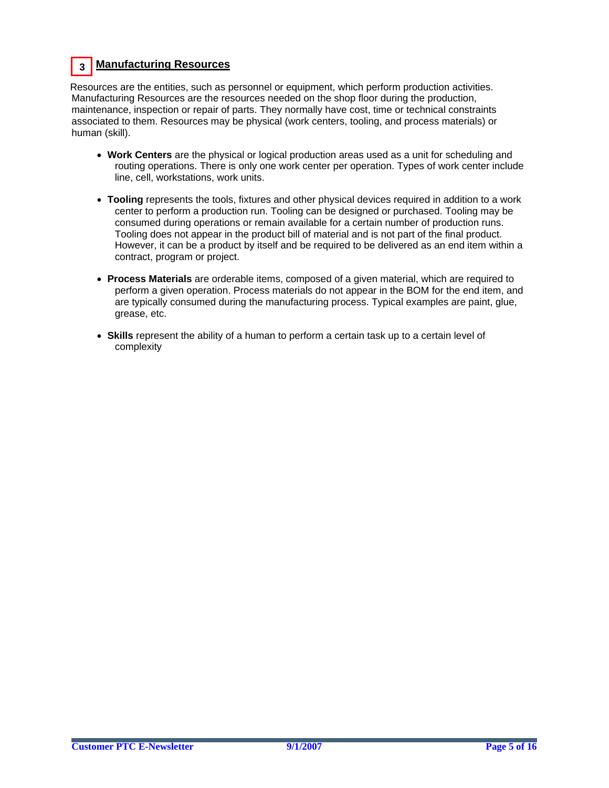### **Manufacturing Resources 3**

Resources are the entities, such as personnel or equipment, which perform production activities. Manufacturing Resources are the resources needed on the shop floor during the production, maintenance, inspection or repair of parts. They normally have cost, time or technical constraints associated to them. Resources may be physical (work centers, tooling, and process materials) or human (skill).

- **Work Centers** are the physical or logical production areas used as a unit for scheduling and routing operations. There is only one work center per operation. Types of work center include line, cell, workstations, work units.
- **Tooling** represents the tools, fixtures and other physical devices required in addition to a work center to perform a production run. Tooling can be designed or purchased. Tooling may be consumed during operations or remain available for a certain number of production runs. Tooling does not appear in the product bill of material and is not part of the final product. However, it can be a product by itself and be required to be delivered as an end item within a contract, program or project.
- **Process Materials** are orderable items, composed of a given material, which are required to perform a given operation. Process materials do not appear in the BOM for the end item, and are typically consumed during the manufacturing process. Typical examples are paint, glue, grease, etc.
- **Skills** represent the ability of a human to perform a certain task up to a certain level of complexity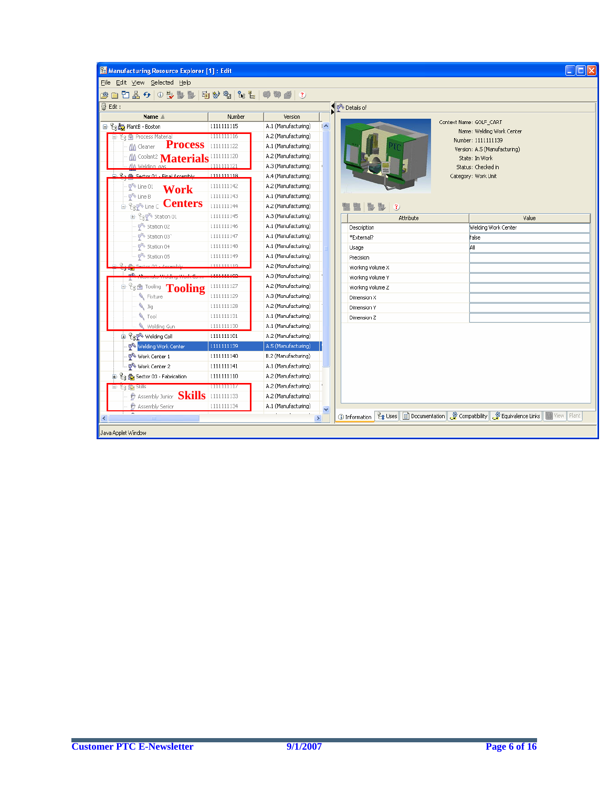| Manufacturing Resource Explorer [1]: Edit                                                                                          |                  |                     |                         | $\overline{\mathsf{L}}$ $\overline{\mathsf{L}}$ $\overline{\mathsf{L}}$            |
|------------------------------------------------------------------------------------------------------------------------------------|------------------|---------------------|-------------------------|------------------------------------------------------------------------------------|
| Eile Edit View Selected Help                                                                                                       |                  |                     |                         |                                                                                    |
| 68 - 13 4 5 6 4 4 4 5 6 7 7 8 7 8 7 9 7 9 8 7                                                                                      |                  |                     |                         |                                                                                    |
| @ Edit:                                                                                                                            |                  |                     | PA Details of           |                                                                                    |
| Name ≜                                                                                                                             | Number           | Version             |                         |                                                                                    |
| 모 <sup>8</sup> RelantB - Boston                                                                                                    | 1111111115       | A.1 (Manufacturing) | ∣∧                      | Context Name: GOLF_CART                                                            |
| For Process Material                                                                                                               | 1111111116       | A.2 (Manufacturing) |                         | Name: Welding Work Center<br>Number: 1111111139                                    |
| <b>Process</b><br>nn Cleaner                                                                                                       | 1111111122       | A.1 (Manufacturing) |                         | Version: A.5 (Manufacturing)                                                       |
| Materials <sup>1111111120</sup>                                                                                                    |                  | A.2 (Manufacturing) |                         | State: In Work                                                                     |
| MA Welding gas                                                                                                                     | 1111111121       | A.3 (Manufacturing) |                         | Status: Checked in                                                                 |
| 20 Sector 01 - Final Assembly                                                                                                      | 1111111118       | A.4 (Manufacturing) |                         | Category: Work Unit                                                                |
| $\n  4\n  1\n  1\n  1\n  1\n  1\n  1\n  1\n  1\n  1\n  1\n  1\n  1\n  1\n  1\n  1\n  1\n  1\n  1\n  1\n  1\n  1\n  1\n  1\n  Work$ | 1111111142       | A.2 (Manufacturing) |                         |                                                                                    |
| <b>I<sup>A</sup></b> Line B                                                                                                        | 1111111143       | A.1 (Manufacturing) |                         |                                                                                    |
| <b>Expression Centers</b>                                                                                                          | 1111111144       | A.2 (Manufacturing) | $\overline{\mathbf{3}}$ |                                                                                    |
| ÷ <sup>2</sup> s <sup>p</sup> Station 01                                                                                           | 1111111145       | A.3 (Manufacturing) | Attribute               | Value                                                                              |
| Station 02                                                                                                                         | 1111111146       | A.1 (Manufacturing) | Description             | Welding Work Center                                                                |
| Station 03                                                                                                                         | 1111111147       | A.1 (Manufacturing) | *External?              | False                                                                              |
| Station 04                                                                                                                         | 1111111148       | A.1 (Manufacturing) | Usage                   | All                                                                                |
| <sup>令</sup> Station 05                                                                                                            | 1111111149       | A.1 (Manufacturing) | Precision               |                                                                                    |
| Sector 02 - Assembly                                                                                                               | 1111111119       | A.2 (Manufacturing) | Working Volume X        |                                                                                    |
|                                                                                                                                    | 1111111192       | A.3 (Manufacturing) | Working Volume Y        |                                                                                    |
| <b>Fig <del>Chang</del></b> Tooling                                                                                                | 1111111127       | A.2 (Manufacturing) | Working Volume Z        |                                                                                    |
| Fixture                                                                                                                            | 1111111129       | A.3 (Manufacturing) | Dimension X             |                                                                                    |
| $\sqrt{a}$                                                                                                                         | 1111111128       | A.2 (Manufacturing) | Dimension Y             |                                                                                    |
| <b>C</b> Tool                                                                                                                      | 1111111131       | A.1 (Manufacturing) | Dimension Z             |                                                                                    |
| Welding Gun                                                                                                                        | 1111111130       | A.1 (Manufacturing) |                         |                                                                                    |
| <b>B</b> <sup>P</sup> <sub>8</sub> <sup><sup>®</sup> Welding Cell</sup>                                                            | 1111111101       | A.2 (Manufacturing) |                         |                                                                                    |
| Welding Work Center                                                                                                                | 1111111139       | A.5 (Manufacturing) |                         |                                                                                    |
| Work Center 1                                                                                                                      | 1111111140       | B.2 (Manufacturing) |                         |                                                                                    |
| Work Center 2                                                                                                                      | 1111111141       | A.1 (Manufacturing) |                         |                                                                                    |
| <sup>2</sup> <sub>8</sub> <b>€</b> Sector 03 - Fabrication                                                                         | 1111111110       | A.2 (Manufacturing) |                         |                                                                                    |
| <b>ES EN PRIIR</b>                                                                                                                 | <b>TITULITIE</b> | A.2 (Manufacturing) |                         |                                                                                    |
| $\hat{y}$ Assembly Junior Skills                                                                                                   | 1111111133       | A.2 (Manufacturing) |                         |                                                                                    |
| Assembly Senior                                                                                                                    | 1111111134       | A.1 (Manufacturing) | $\overline{\mathbf{v}}$ |                                                                                    |
|                                                                                                                                    |                  | $\rightarrow$       | (i) Information         | 운g Uses   日 Documentation   《 Compatibility   《 Equivalence Links   國 View   Plant |
| Java Applet Window                                                                                                                 |                  |                     |                         |                                                                                    |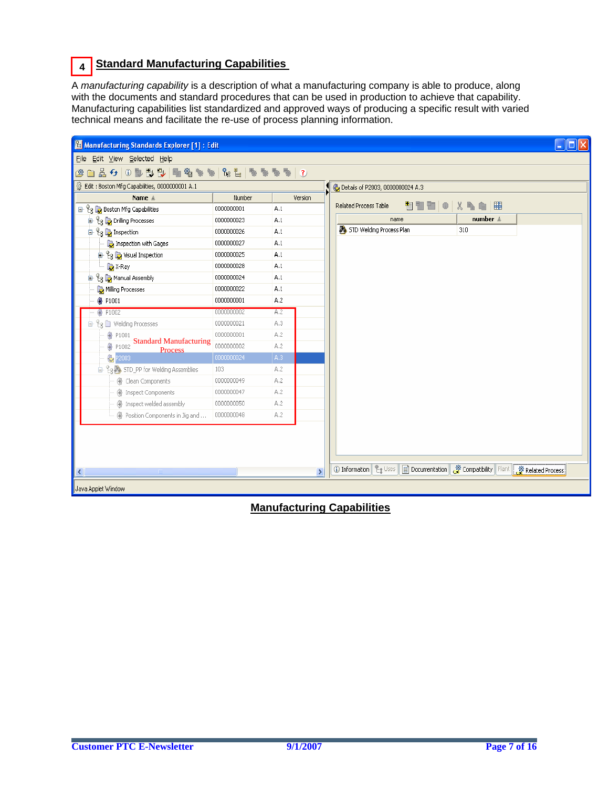### **Standard Manufacturing Capabilities 4**

A *manufacturing capability* is a description of what a manufacturing company is able to produce, along with the documents and standard procedures that can be used in production to achieve that capability. Manufacturing capabilities list standardized and approved ways of producing a specific result with varied technical means and facilitate the re-use of process planning information.

| Manufacturing Standards Explorer [1]: Edit                          |            |               |                                                |  |
|---------------------------------------------------------------------|------------|---------------|------------------------------------------------|--|
| Eile Edit View Selected Help                                        |            |               |                                                |  |
| @ @ & &   0 D D D   D   D Q % %   & E   & % % %   & %   &           |            |               |                                                |  |
| Edit: Boston Mfg Capabilities, 0000000001 A.1                       |            |               | O Details of P2003, 0000000024 A.3             |  |
| Name ≜                                                              | Number     | Version       |                                                |  |
| ⊟ Eg Da Boston Mfg Capabilities                                     | 0000000001 | A.1           | 團<br>Related Process Table<br>X.<br>is the set |  |
| <sup>in</sup> <sup>2</sup> <sub>8</sub> <b>b</b> Drilling Processes | 0000000023 | A.1           | number $\triangleq$<br>name                    |  |
| <sup>1</sup> L <sub>3</sub> L <sub>2</sub> Inspection               | 0000000026 | A.1           | STD Welding Process Plan<br>310                |  |
| Inspection with Gages                                               | 0000000027 | A.1           |                                                |  |
| <sup>in</sup> <sup>2</sup> <sub>8</sub> <b>b</b> Visual Inspection  | 0000000025 | A.1           |                                                |  |
| <b>D</b> <sub>X-Ray</sub>                                           | 0000000028 | A.1           |                                                |  |
| <sup>1</sup> Le <b>D</b> Manual Assembly                            | 0000000024 | A.1           |                                                |  |
| Milling Processes                                                   | 0000000022 | A.1           |                                                |  |
| <b></b> P1001                                                       | 0000000001 | A.2           |                                                |  |
| P1002<br>⊕                                                          | 0000000002 | A.2           |                                                |  |
| $\mathbb{H} \, \mathcal{C}_8 \, \Box$ Welding Processes             | 0000000021 | A.3           |                                                |  |
| ۰<br>P1001<br><b>Standard Manufacturing</b>                         | 0000000001 | A.2           |                                                |  |
| ۰<br>P1002<br>Process                                               | 0000000002 | A.2           |                                                |  |
| <b>C</b> P2003                                                      | 0000000024 | A.3           |                                                |  |
| 白 <sup>Q</sup> g by STD_PP for Welding Assemblies                   | 103        | A.2           |                                                |  |
| ● Clean Components                                                  | 0000000049 | A.2           |                                                |  |
| <b>图 Inspect Components</b>                                         | 0000000047 | A.2           |                                                |  |
| 4 Inspect welded assembly                                           | 0000000050 | A.2           |                                                |  |
| Represition Components in Jig and                                   | 0000000048 | A.2           |                                                |  |
|                                                                     |            |               |                                                |  |
| ∢<br>$\mathbb{H}\mathbb{H}$ .                                       |            | $\rightarrow$ | Related Process                                |  |
| Java Applet Window                                                  |            |               |                                                |  |

 **Manufacturing Capabilities**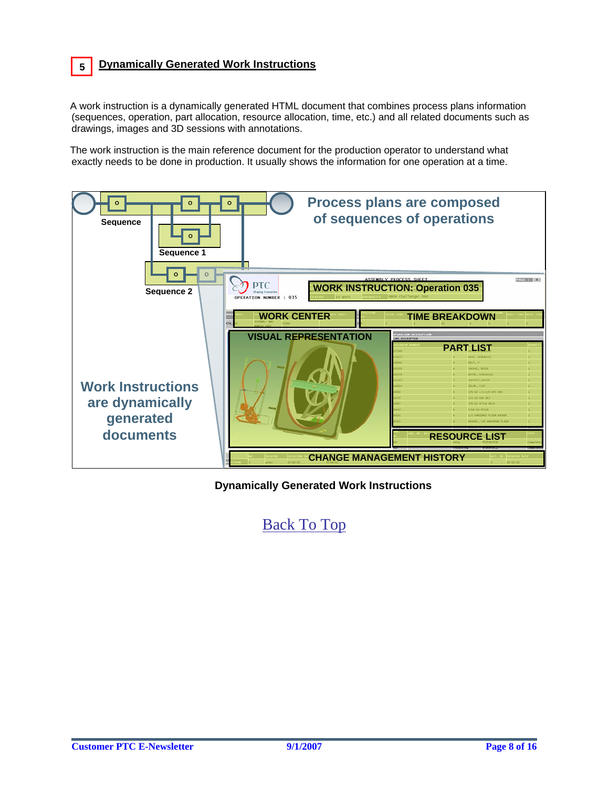### **5 Dynamically Generated Work Instructions**

A work instruction is a dynamically generated HTML document that combines process plans information (sequences, operation, part allocation, resource allocation, time, etc.) and all related documents such as drawings, images and 3D sessions with annotations.

The work instruction is the main reference document for the production operator to understand what exactly needs to be done in production. It usually shows the information for one operation at a time.



**Dynamically Generated Work Instructions**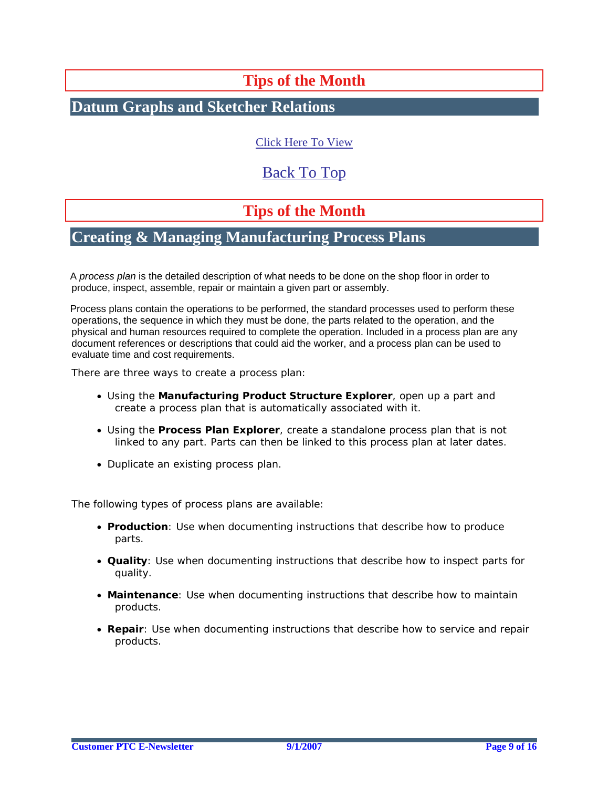# **Tips of the Month**

### <span id="page-8-0"></span>**Datum Graphs and Sketcher Relations**

[Click Here To View](http://members.shaw.ca/jpeng/newsletter/PTC_Technical_Specialists_E-Newsletter_09-01-2007_desktop.pdf)

### [Back To Top](#page-0-0)

## **Tips of the Month**

### **Creating & Managing Manufacturing Process Plans**

A *process plan* is the detailed description of what needs to be done on the shop floor in order to produce, inspect, assemble, repair or maintain a given part or assembly.

Process plans contain the operations to be performed, the standard processes used to perform these operations, the sequence in which they must be done, the parts related to the operation, and the physical and human resources required to complete the operation. Included in a process plan are any document references or descriptions that could aid the worker, and a process plan can be used to evaluate time and cost requirements.

There are three ways to create a process plan:

- Using the **Manufacturing Product Structure Explorer**, open up a part and create a process plan that is automatically associated with it.
- Using the **Process Plan Explorer**, create a standalone process plan that is not linked to any part. Parts can then be linked to this process plan at later dates.
- Duplicate an existing process plan.

The following types of process plans are available:

- **Production**: Use when documenting instructions that describe how to produce parts.
- **Quality**: Use when documenting instructions that describe how to inspect parts for quality.
- **Maintenance**: Use when documenting instructions that describe how to maintain products.
- **Repair**: Use when documenting instructions that describe how to service and repair products.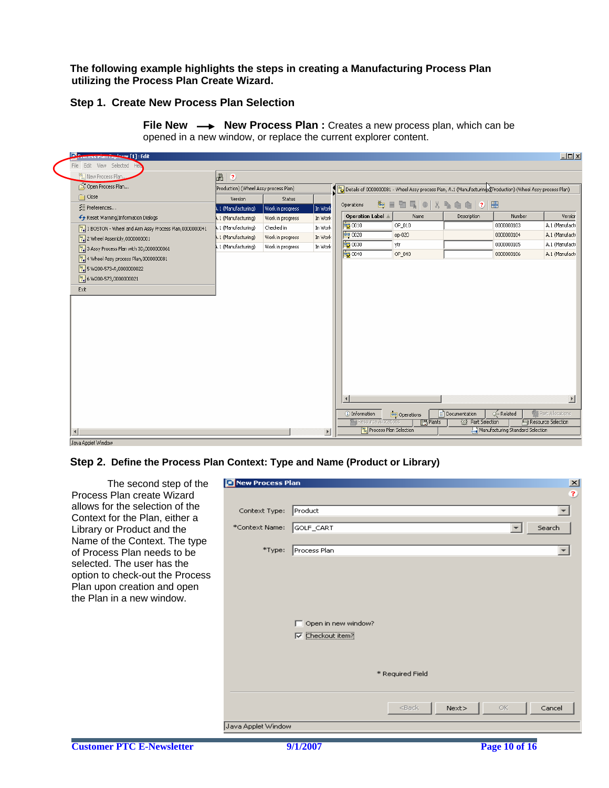**The following example highlights the steps in creating a Manufacturing Process Plan utilizing the Process Plan Create Wizard.** 

#### **Step 1. Create New Process Plan Selection**

| <b>De Process Pian Explorer [1]: Edit</b>             |                                       |                  |                       |                                                                                                             |                                      |                         |                                  | $ \Box$ $\times$           |
|-------------------------------------------------------|---------------------------------------|------------------|-----------------------|-------------------------------------------------------------------------------------------------------------|--------------------------------------|-------------------------|----------------------------------|----------------------------|
| File Edit View Selected He                            |                                       |                  |                       |                                                                                                             |                                      |                         |                                  |                            |
| <sup>答</sup> , New Process Plan                       | $\mathbb{R}^+$ 2                      |                  |                       |                                                                                                             |                                      |                         |                                  |                            |
| Open Process Plan                                     | Production) (Wheel Assy process Plan) |                  |                       | Details of 0000000081 - Wheel Assy process Plan, A.1 (Manufacturing) (Production) (Wheel Assy process Plan) |                                      |                         |                                  |                            |
| Close                                                 | Version                               | Status           |                       |                                                                                                             |                                      |                         |                                  |                            |
| VE Preferences                                        | 1.1 (Manufacturing)                   | Work in progress | In Work               | Operations                                                                                                  | <u> šte et Q   3, s g g   2   ht</u> |                         |                                  |                            |
| ← Reset Warning/Information Dialogs                   | 1. 1 (Manufacturing)                  | Work in progress | In Work               | Operation Label                                                                                             | Name                                 | Description             | Number                           | Version                    |
| 1 BOSTON - Wheel and Arm Assy Process Plan,0000000041 | 4.1 (Manufacturing)                   | Checked in       | In Work               | 50 0010                                                                                                     | OP_010                               |                         | 0000000103                       | A.1 (Manufacti             |
| $\frac{1}{2}$ 2 Wheel Assembly,0000000001             | 4.1 (Manufacturing)                   | Work in progress | In Work               | $\frac{1}{2}$ 0020                                                                                          | op-020                               |                         | 0000000104                       | A.1 (Manufacti             |
| $\frac{1}{2}$ 3 Assy Process Plan with 3D,0000000061  | 4.1 (Manufacturing)                   | Work in progress | In Work               | 30030                                                                                                       | ytr                                  |                         | 0000000105                       | A.1 (Manufacti             |
| $\frac{1}{2}$ 4 Wheel Assy process Plan,0000000081    |                                       |                  |                       | 50040                                                                                                       | OP_040                               |                         | 0000000106                       | A.1 (Manufacti             |
| $\frac{1}{2}$ 5 W200-573-A,0000000022                 |                                       |                  |                       |                                                                                                             |                                      |                         |                                  |                            |
| 8 6 W200-573,0000000021                               |                                       |                  |                       |                                                                                                             |                                      |                         |                                  |                            |
| Exit                                                  |                                       |                  |                       |                                                                                                             |                                      |                         |                                  |                            |
|                                                       |                                       |                  |                       |                                                                                                             |                                      |                         |                                  |                            |
|                                                       |                                       |                  |                       |                                                                                                             |                                      |                         |                                  |                            |
|                                                       |                                       |                  |                       |                                                                                                             |                                      |                         |                                  |                            |
|                                                       |                                       |                  |                       |                                                                                                             |                                      |                         |                                  |                            |
|                                                       |                                       |                  |                       |                                                                                                             |                                      |                         |                                  |                            |
|                                                       |                                       |                  |                       |                                                                                                             |                                      |                         |                                  |                            |
|                                                       |                                       |                  |                       |                                                                                                             |                                      |                         |                                  |                            |
|                                                       |                                       |                  |                       |                                                                                                             |                                      |                         |                                  |                            |
|                                                       |                                       |                  |                       |                                                                                                             |                                      |                         |                                  |                            |
|                                                       |                                       |                  |                       |                                                                                                             |                                      |                         |                                  |                            |
|                                                       |                                       |                  |                       |                                                                                                             |                                      |                         |                                  |                            |
|                                                       |                                       |                  |                       | $\left  \right $                                                                                            |                                      |                         |                                  | $\blacktriangleright$      |
|                                                       |                                       |                  |                       | <b>(i)</b> Information                                                                                      | <b>DE</b> Operations                 | Documentation           | ⊙ Related                        | <b>CB</b> Part Allocations |
|                                                       |                                       |                  |                       | <b>El Resource Alccations</b>                                                                               | <b>Py</b> Plants                     | <b>Q</b> Part Selection |                                  | Resource Selection         |
| $\left  \right $                                      |                                       |                  | $\blacktriangleright$ | Process Plan Selection                                                                                      |                                      |                         | Manufacturing Standard Selection |                            |

**File New**  $\longrightarrow$  **New Process Plan :** Creates a new process plan, which can be opened in a new window, or replace the current explorer content.

Java Applet Window

#### **Step 2. Define the Process Plan Context: Type and Name (Product or Library)**

The second step of the Process Plan create Wizard allows for the selection of the Context for the Plan, either a Library or Product and the Name of the Context. The type of Process Plan needs to be selected. The user has the option to check-out the Process Plan upon creation and open the Plan in a new window.

| New Process Plan   |                          |                                                               |      |                          |                                 |
|--------------------|--------------------------|---------------------------------------------------------------|------|--------------------------|---------------------------------|
|                    |                          |                                                               |      |                          | $\frac{\mathsf{x}}{\mathsf{z}}$ |
| Context Type:      | Product                  |                                                               |      |                          |                                 |
| *Context Name:     | GOLF_CART                |                                                               |      | $\overline{\phantom{a}}$ | Search                          |
|                    |                          |                                                               |      |                          |                                 |
| $*$ Type:          | Process Plan             |                                                               |      |                          |                                 |
|                    |                          |                                                               |      |                          |                                 |
|                    |                          |                                                               |      |                          |                                 |
|                    |                          |                                                               |      |                          |                                 |
|                    |                          |                                                               |      |                          |                                 |
|                    | Open in new window?<br>┍ |                                                               |      |                          |                                 |
|                    | To Checkout item?        |                                                               |      |                          |                                 |
|                    |                          |                                                               |      |                          |                                 |
|                    |                          |                                                               |      |                          |                                 |
|                    |                          | * Required Field                                              |      |                          |                                 |
|                    |                          |                                                               |      |                          |                                 |
|                    |                          | <back< td=""><td>Next</td><td>OK.</td><td>Cancel</td></back<> | Next | OK.                      | Cancel                          |
| Java Applet Window |                          |                                                               |      |                          |                                 |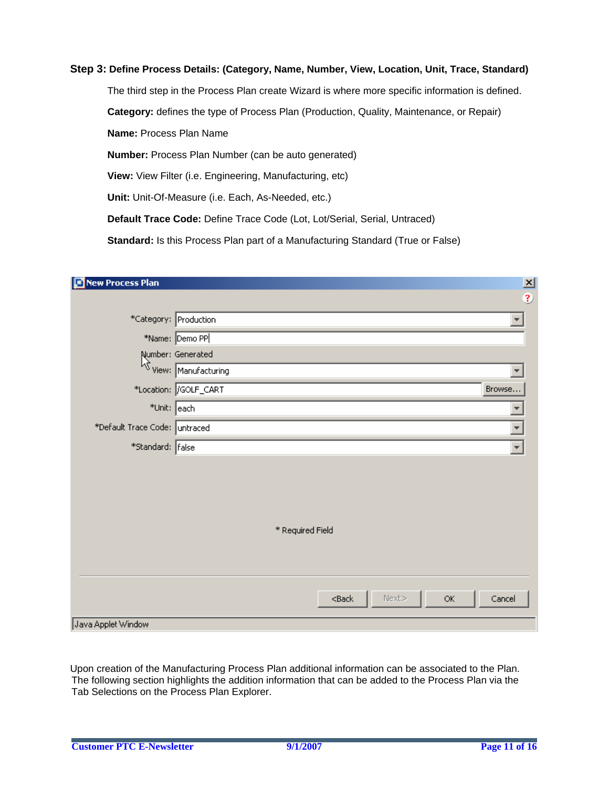#### **Step 3: Define Process Details: (Category, Name, Number, View, Location, Unit, Trace, Standard)**

The third step in the Process Plan create Wizard is where more specific information is defined.  **Category:** defines the type of Process Plan (Production, Quality, Maintenance, or Repair)  **Name:** Process Plan Name  **Number:** Process Plan Number (can be auto generated)  **View:** View Filter (i.e. Engineering, Manufacturing, etc)  **Unit:** Unit-Of-Measure (i.e. Each, As-Needed, etc.) **Default Trace Code:** Define Trace Code (Lot, Lot/Serial, Serial, Untraced)  **Standard:** Is this Process Plan part of a Manufacturing Standard (True or False)

| New Process Plan              |                         | $\mathbf{x}$        |
|-------------------------------|-------------------------|---------------------|
|                               |                         | $\ddot{\textbf{3}}$ |
| *Category: Production         |                         |                     |
|                               | *Name: Demo PP          |                     |
|                               | Number: Generated       |                     |
|                               | Wiew: Manufacturing     |                     |
|                               | *Location:  GOLF_CART   | Browse              |
| *Unit: each                   |                         |                     |
| *Default Trace Code: untraced |                         |                     |
| *Standard: false              |                         |                     |
|                               |                         |                     |
|                               |                         |                     |
|                               |                         |                     |
|                               |                         |                     |
|                               | * Required Field        |                     |
|                               |                         |                     |
|                               |                         |                     |
|                               |                         |                     |
|                               | Next<br>$<$ Back<br>OK. | Cancel              |
| Java Applet Window            |                         |                     |

Upon creation of the Manufacturing Process Plan additional information can be associated to the Plan. The following section highlights the addition information that can be added to the Process Plan via the Tab Selections on the Process Plan Explorer.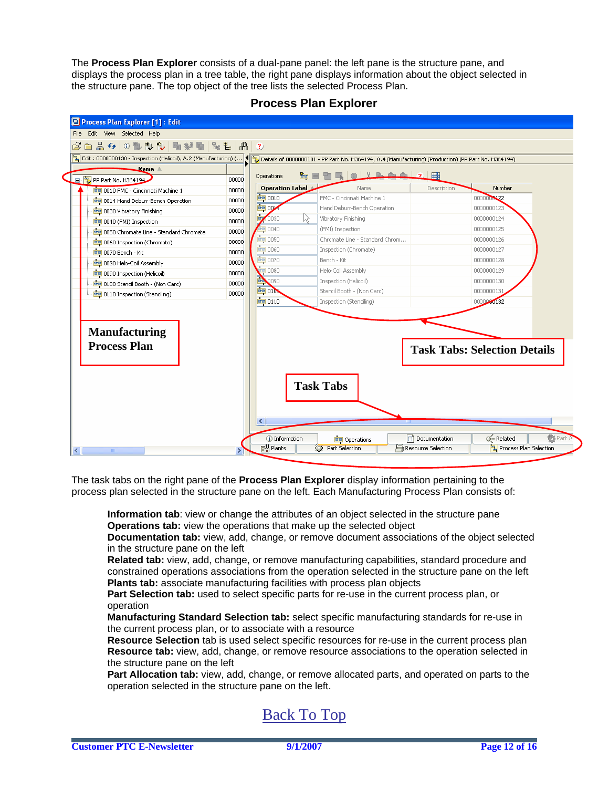The **Process Plan Explorer** consists of a dual-pane panel: the left pane is the structure pane, and displays the process plan in a tree table, the right pane displays information about the object selected in the structure pane. The top object of the tree lists the selected Process Plan.

| PP Part No. H364194                              | 00000 | Operations                 | $\mathbb{E}$ $\left  \cdot \right $ $\mathbb{R}$ $\mathbb{R}$ $\mathbb{R}$ $\mathbb{R}$ $\left  \cdot \right $ $\mathbb{R}$<br>命目間 |                                     |
|--------------------------------------------------|-------|----------------------------|------------------------------------------------------------------------------------------------------------------------------------|-------------------------------------|
| <b>DE 0010 FMC - Cincinnati Machine 1</b>        | 00000 | Operation Label            | Name                                                                                                                               | Number<br><b>Description</b>        |
| <b>DE 0014 Hand Deburr-Bench Operation</b>       | 00000 | <b>BB</b> 0010             | FMC - Cincinnati Machine 1                                                                                                         | 0000000122                          |
| <b>DB</b> 0030 Vibratory Finishing               | 00000 | 画吵                         | Hand Deburr-Bench Operation                                                                                                        | 0000000123                          |
| <b>DB</b> 0040 (FMI) Inspection                  | 00000 | ь<br>0030<br>kç            | Vibratory Finishing                                                                                                                | 0000000124                          |
| <b>DB</b> 0050 Chromate Line - Standard Chromate | 00000 | 0040                       | (FMI) Inspection                                                                                                                   | 0000000125                          |
| <b>DE</b> 0060 Inspection (Chromate)             | 00000 | $= 0050$                   | Chromate Line - Standard Chrom                                                                                                     | 0000000126                          |
| <b>DB</b> 0070 Bench - Kit                       | 00000 | 6000                       | Inspection (Chromate)                                                                                                              | 0000000127                          |
| <b>DB</b> 0080 Helo-Coil Assembly                | 00000 | <b>ag</b> 0070             | Bench - Kit                                                                                                                        | 0000000128                          |
| <b>DB</b> 0090 Inspection (Helicoil)             | 00000 | $\blacksquare$ 0080        | Helo-Coil Assembly                                                                                                                 | 0000000129                          |
| [0100 Stencil Booth - (Non Carc)                 | 00000 | $\vec{\mathbb{P}}$<br>0090 | Inspection (Helicoil)                                                                                                              | 0000000130                          |
| <b>DE</b> 0110 Inspection (Stenciling)           | 00000 | <b>BB 0104</b>             | Stencil Booth - (Non Carc)                                                                                                         | 0000000131                          |
| <b>Manufacturing</b><br><b>Process Plan</b>      |       |                            |                                                                                                                                    | <b>Task Tabs: Selection Details</b> |
|                                                  |       |                            |                                                                                                                                    |                                     |

**Process Plan Explorer** 

The task tabs on the right pane of the **Process Plan Explorer** display information pertaining to the process plan selected in the structure pane on the left. Each Manufacturing Process Plan consists of:

**Information tab**: view or change the attributes of an object selected in the structure pane **Operations tab:** view the operations that make up the selected object

**Documentation tab:** view, add, change, or remove document associations of the object selected in the structure pane on the left

**Related tab:** view, add, change, or remove manufacturing capabilities, standard procedure and constrained operations associations from the operation selected in the structure pane on the left **Plants tab:** associate manufacturing facilities with process plan objects

**Part Selection tab:** used to select specific parts for re-use in the current process plan, or operation

**Manufacturing Standard Selection tab:** select specific manufacturing standards for re-use in the current process plan, or to associate with a resource

**Resource Selection** tab is used select specific resources for re-use in the current process plan **Resource tab:** view, add, change, or remove resource associations to the operation selected in the structure pane on the left

**Part Allocation tab:** view, add, change, or remove allocated parts, and operated on parts to the operation selected in the structure pane on the left.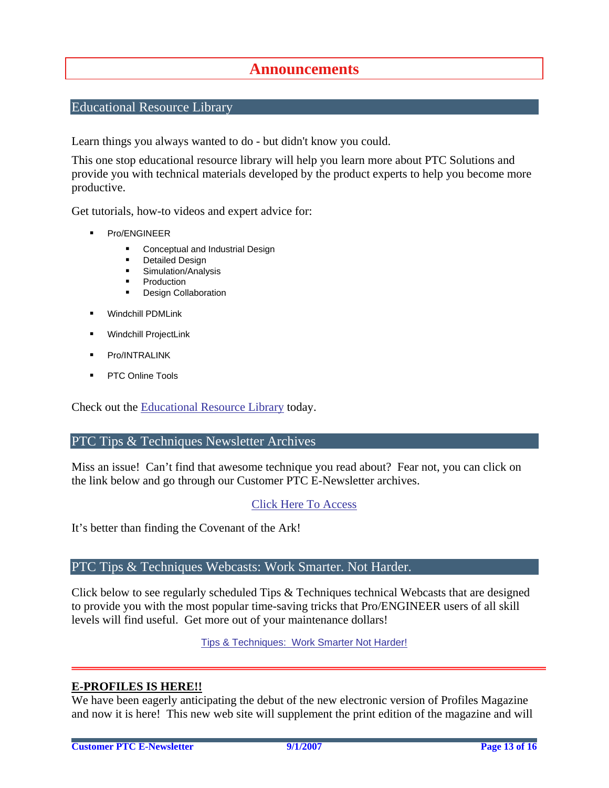### **Announcements**

### <span id="page-12-0"></span>Educational Resource Library

Learn things you always wanted to do - but didn't know you could.

This one stop educational resource library will help you learn more about PTC Solutions and provide you with technical materials developed by the product experts to help you become more productive.

Get tutorials, how-to videos and expert advice for:

- **Pro/ENGINEER** 
	- **EXECONCEPT** Conceptual and Industrial Design
	- **•** Detailed Design
	- **Simulation/Analysis**
	- Production
	- Design Collaboration
- Windchill PDMLink
- Windchill ProjectLink
- Pro/INTRALINK
- PTC Online Tools

Check out the [Educational Resource Library](http://www.ptc.com/community/proewf/newtools/tutorials.htm) today.

### PTC Tips & Techniques Newsletter Archives

Miss an issue! Can't find that awesome technique you read about? Fear not, you can click on the link below and go through our Customer PTC E-Newsletter archives.

### [Click Here To Access](http://www.ptc.com/carezone/archive/index.htm)

It's better than finding the Covenant of the Ark!

### PTC Tips & Techniques Webcasts: Work Smarter. Not Harder.

Click below to see regularly scheduled Tips & Techniques technical Webcasts that are designed to provide you with the most popular time-saving tricks that Pro/ENGINEER users of all skill levels will find useful. Get more out of your maintenance dollars!

Tips & Techniques: Work Smarter Not Harder!

### **E-PROFILES IS HERE!!**

We have been eagerly anticipating the debut of the new electronic version of Profiles Magazine and now it is here! This new web site will supplement the print edition of the magazine and will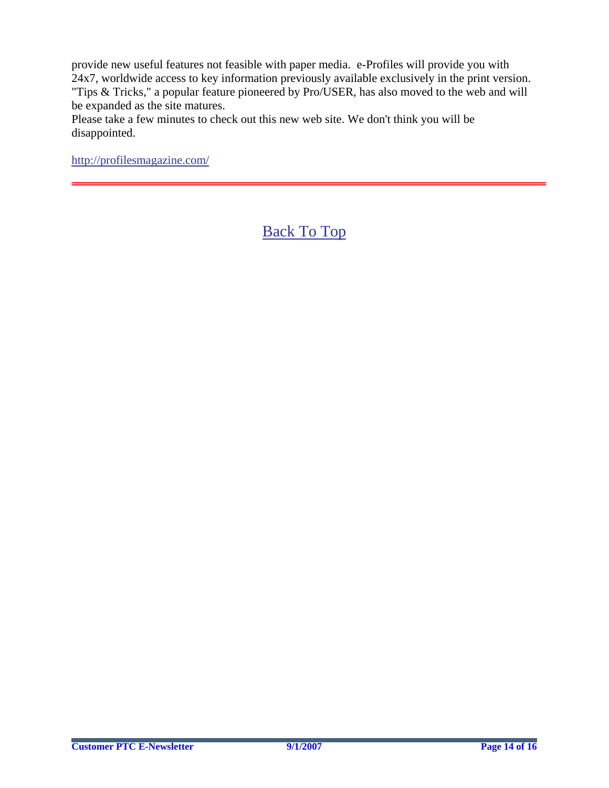provide new useful features not feasible with paper media. e-Profiles will provide you with 24x7, worldwide access to key information previously available exclusively in the print version. "Tips & Tricks," a popular feature pioneered by Pro/USER, has also moved to the web and will be expanded as the site matures.

Please take a few minutes to check out this new web site. We don't think you will be disappointed.

<http://profilesmagazine.com/>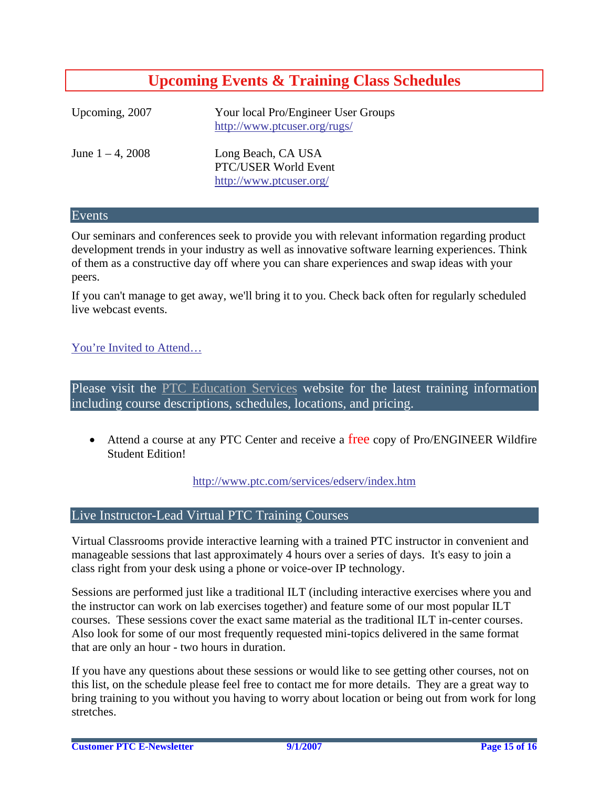## **Upcoming Events & Training Class Schedules**

<span id="page-14-0"></span>

| Upcoming, 2007      | Your local Pro/Engineer User Groups<br>http://www.ptcuser.org/rugs/   |
|---------------------|-----------------------------------------------------------------------|
| June $1 - 4$ , 2008 | Long Beach, CA USA<br>PTC/USER World Event<br>http://www.ptcuser.org/ |

#### Events

Our seminars and conferences seek to provide you with relevant information regarding product development trends in your industry as well as innovative software learning experiences. Think of them as a constructive day off where you can share experiences and swap ideas with your peers.

If you can't manage to get away, we'll bring it to you. Check back often for regularly scheduled live webcast events.

### [You're Invited to Attend…](http://www.ptc.com/company/news/events/index.htm)

Please visit the [PTC Education Services](http://www.ptc.com/services/edserv/) website for the latest training information including course descriptions, schedules, locations, and pricing.

• Attend a course at any PTC Center and receive a free copy of Pro/ENGINEER Wildfire Student Edition!

<http://www.ptc.com/services/edserv/index.htm>

### Live Instructor-Lead Virtual PTC Training Courses

Virtual Classrooms provide interactive learning with a trained PTC instructor in convenient and manageable sessions that last approximately 4 hours over a series of days. It's easy to join a class right from your desk using a phone or voice-over IP technology.

Sessions are performed just like a traditional ILT (including interactive exercises where you and the instructor can work on lab exercises together) and feature some of our most popular ILT courses. These sessions cover the exact same material as the traditional ILT in-center courses. Also look for some of our most frequently requested mini-topics delivered in the same format that are only an hour - two hours in duration.

If you have any questions about these sessions or would like to see getting other courses, not on this list, on the schedule please feel free to contact me for more details. They are a great way to bring training to you without you having to worry about location or being out from work for long stretches.